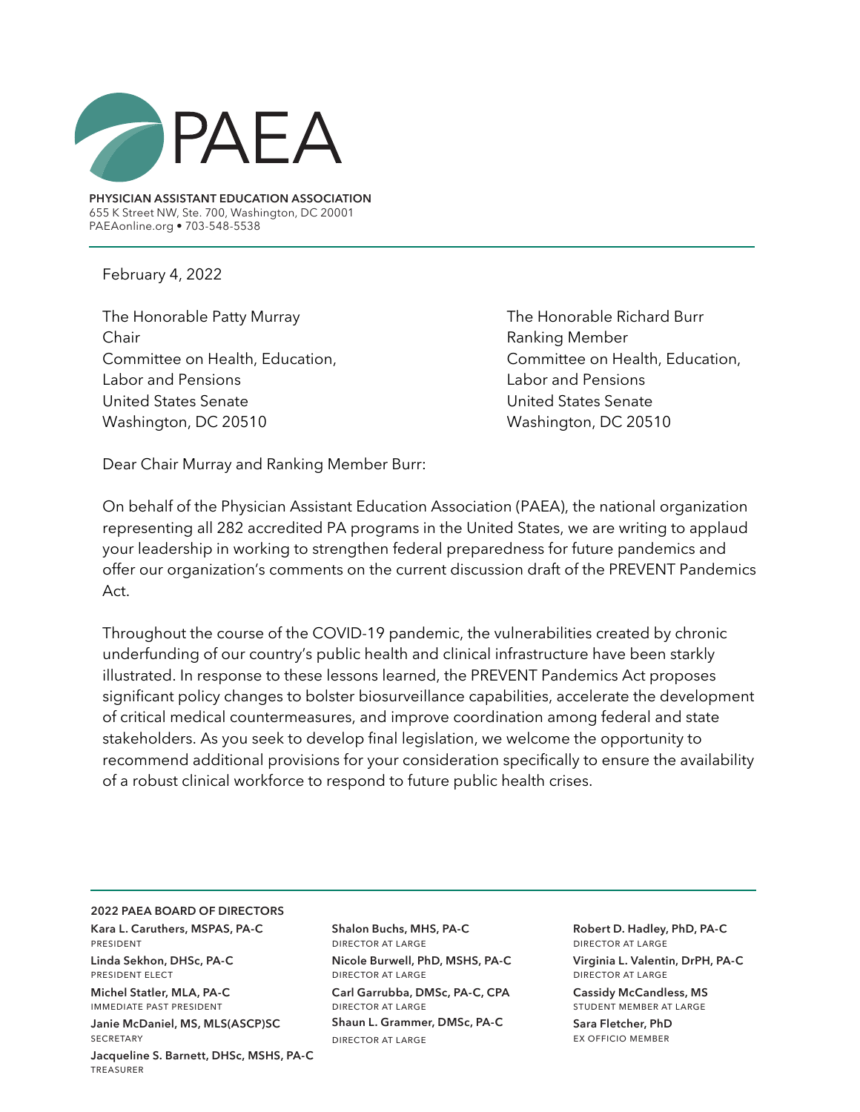

**PHYSICIAN ASSISTANT EDUCATION ASSOCIATION** 655 K Street NW, Ste. 700, Washington, DC 20001 PAEAonline.org • 703-548-5538

February 4, 2022

The Honorable Patty Murray The Honorable Richard Burr Chair **Chair** Ranking Member Committee on Health, Education, Committee on Health, Education, Labor and Pensions Labor and Pensions United States Senate United States Senate Washington, DC 20510 Washington, DC 20510

Dear Chair Murray and Ranking Member Burr:

On behalf of the Physician Assistant Education Association (PAEA), the national organization representing all 282 accredited PA programs in the United States, we are writing to applaud your leadership in working to strengthen federal preparedness for future pandemics and offer our organization's comments on the current discussion draft of the PREVENT Pandemics Act.

Throughout the course of the COVID-19 pandemic, the vulnerabilities created by chronic underfunding of our country's public health and clinical infrastructure have been starkly illustrated. In response to these lessons learned, the PREVENT Pandemics Act proposes significant policy changes to bolster biosurveillance capabilities, accelerate the development of critical medical countermeasures, and improve coordination among federal and state stakeholders. As you seek to develop final legislation, we welcome the opportunity to recommend additional provisions for your consideration specifically to ensure the availability of a robust clinical workforce to respond to future public health crises.

## **2022 PAEA BOARD OF DIRECTORS**

**Kara L. Caruthers, MSPAS, PA-C**  president

**Linda Sekhon, DHSc, PA-C**  president elect

**Michel Statler, MLA, PA-C**  immediate past president

**Janie McDaniel, MS, MLS(ASCP)SC SECRETARY** 

**Jacqueline S. Barnett, DHSc, MSHS, PA-C** treasurer

**Shalon Buchs, MHS, PA-C** director at large **Nicole Burwell, PhD, MSHS, PA-C** director at large **Carl Garrubba, DMSc, PA-C, CPA** director at large **Shaun L. Grammer, DMSc, PA-C** director at large

**Robert D. Hadley, PhD, PA-C** director at large **Virginia L. Valentin, DrPH, PA-C** director at large

**Cassidy McCandless, MS**  student member at large

**Sara Fletcher, PhD** ex officio member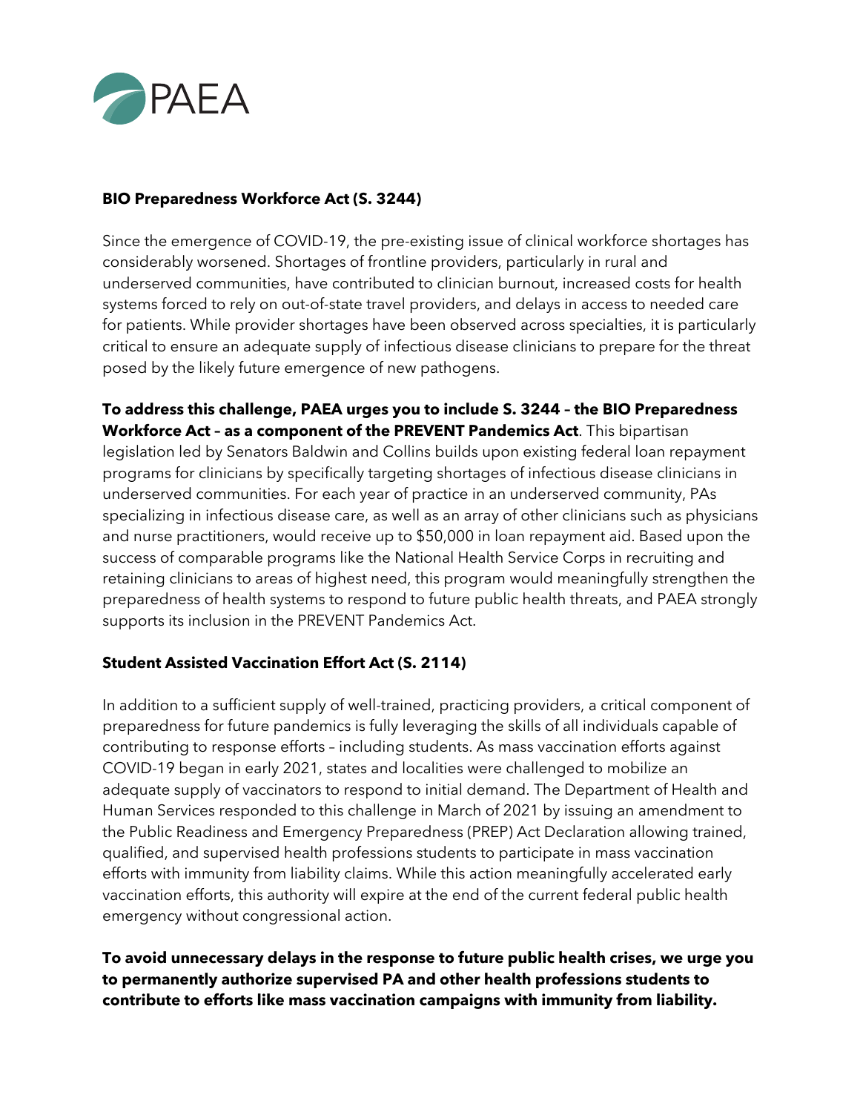

## **BIO Preparedness Workforce Act (S. 3244)**

Since the emergence of COVID-19, the pre-existing issue of clinical workforce shortages has considerably worsened. Shortages of frontline providers, particularly in rural and underserved communities, have contributed to clinician burnout, increased costs for health systems forced to rely on out-of-state travel providers, and delays in access to needed care for patients. While provider shortages have been observed across specialties, it is particularly critical to ensure an adequate supply of infectious disease clinicians to prepare for the threat posed by the likely future emergence of new pathogens.

**To address this challenge, PAEA urges you to include S. 3244 – the BIO Preparedness Workforce Act – as a component of the PREVENT Pandemics Act**. This bipartisan legislation led by Senators Baldwin and Collins builds upon existing federal loan repayment programs for clinicians by specifically targeting shortages of infectious disease clinicians in underserved communities. For each year of practice in an underserved community, PAs specializing in infectious disease care, as well as an array of other clinicians such as physicians and nurse practitioners, would receive up to \$50,000 in loan repayment aid. Based upon the success of comparable programs like the National Health Service Corps in recruiting and retaining clinicians to areas of highest need, this program would meaningfully strengthen the preparedness of health systems to respond to future public health threats, and PAEA strongly supports its inclusion in the PREVENT Pandemics Act.

## **Student Assisted Vaccination Effort Act (S. 2114)**

In addition to a sufficient supply of well-trained, practicing providers, a critical component of preparedness for future pandemics is fully leveraging the skills of all individuals capable of contributing to response efforts – including students. As mass vaccination efforts against COVID-19 began in early 2021, states and localities were challenged to mobilize an adequate supply of vaccinators to respond to initial demand. The Department of Health and Human Services responded to this challenge in March of 2021 by issuing an amendment to the Public Readiness and Emergency Preparedness (PREP) Act Declaration allowing trained, qualified, and supervised health professions students to participate in mass vaccination efforts with immunity from liability claims. While this action meaningfully accelerated early vaccination efforts, this authority will expire at the end of the current federal public health emergency without congressional action.

**To avoid unnecessary delays in the response to future public health crises, we urge you to permanently authorize supervised PA and other health professions students to contribute to efforts like mass vaccination campaigns with immunity from liability.**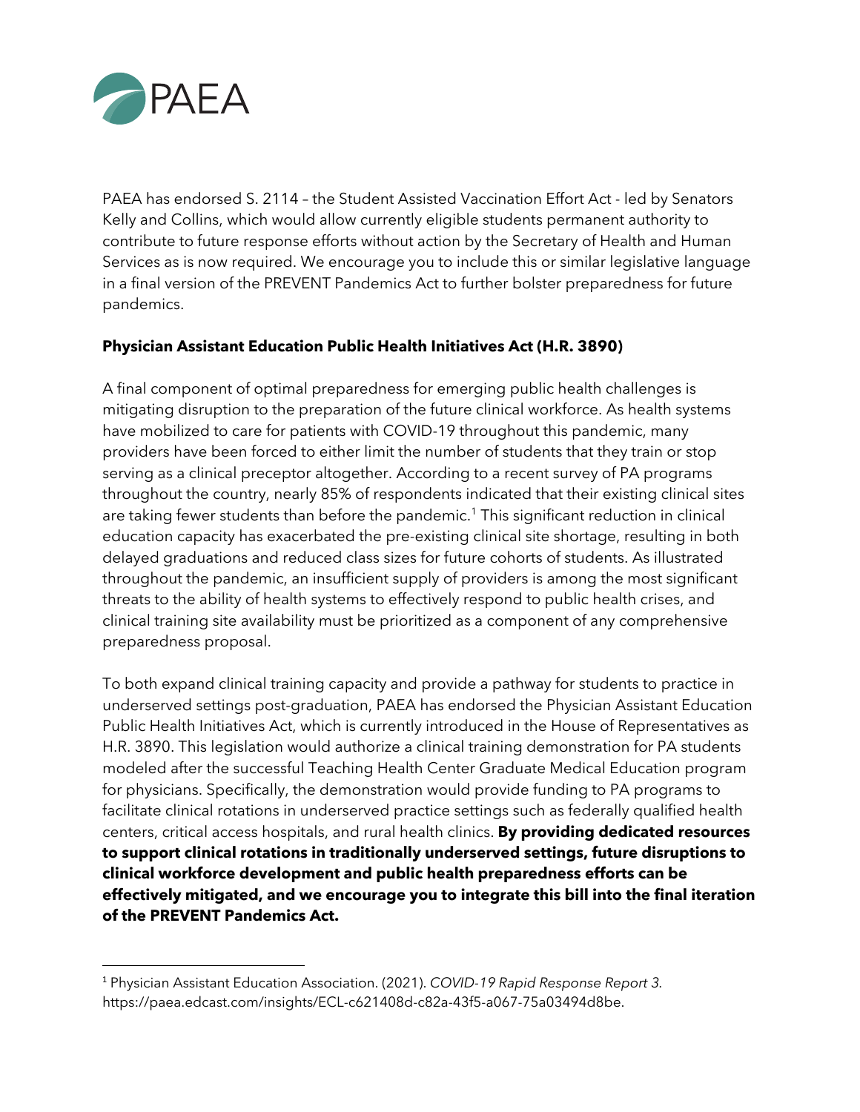

PAEA has endorsed S. 2114 – the Student Assisted Vaccination Effort Act - led by Senators Kelly and Collins, which would allow currently eligible students permanent authority to contribute to future response efforts without action by the Secretary of Health and Human Services as is now required. We encourage you to include this or similar legislative language in a final version of the PREVENT Pandemics Act to further bolster preparedness for future pandemics.

## **Physician Assistant Education Public Health Initiatives Act (H.R. 3890)**

A final component of optimal preparedness for emerging public health challenges is mitigating disruption to the preparation of the future clinical workforce. As health systems have mobilized to care for patients with COVID-19 throughout this pandemic, many providers have been forced to either limit the number of students that they train or stop serving as a clinical preceptor altogether. According to a recent survey of PA programs throughout the country, nearly 85% of respondents indicated that their existing clinical sites are taking fewer students than before the pandemic.<sup>1</sup> This significant reduction in clinical education capacity has exacerbated the pre-existing clinical site shortage, resulting in both delayed graduations and reduced class sizes for future cohorts of students. As illustrated throughout the pandemic, an insufficient supply of providers is among the most significant threats to the ability of health systems to effectively respond to public health crises, and clinical training site availability must be prioritized as a component of any comprehensive preparedness proposal.

To both expand clinical training capacity and provide a pathway for students to practice in underserved settings post-graduation, PAEA has endorsed the Physician Assistant Education Public Health Initiatives Act, which is currently introduced in the House of Representatives as H.R. 3890. This legislation would authorize a clinical training demonstration for PA students modeled after the successful Teaching Health Center Graduate Medical Education program for physicians. Specifically, the demonstration would provide funding to PA programs to facilitate clinical rotations in underserved practice settings such as federally qualified health centers, critical access hospitals, and rural health clinics. **By providing dedicated resources to support clinical rotations in traditionally underserved settings, future disruptions to clinical workforce development and public health preparedness efforts can be effectively mitigated, and we encourage you to integrate this bill into the final iteration of the PREVENT Pandemics Act.**

<sup>1</sup> Physician Assistant Education Association. (2021). *COVID-19 Rapid Response Report 3.* https://paea.edcast.com/insights/ECL-c621408d-c82a-43f5-a067-75a03494d8be.